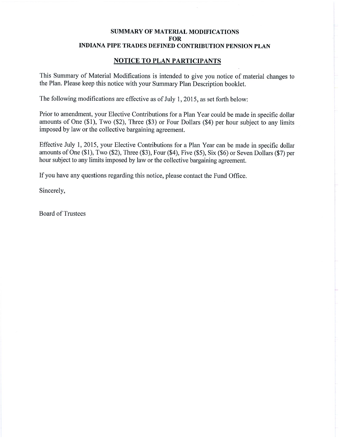### **NOTICE TO PLAN PARTICIPANTS**

This Summary of Material Modifications is intended to give you notice of material changes to the Plan. Please keep this notice with your Summary Plan Description booklet.

The following modifications are effective as of July 1, 2015, as set forth below:

Prior to amendment, your Elective Contributions for a Plan Year could be made in specific dollar amounts of One (\$1), Two (\$2), Three (\$3) or Four Dollars (\$4) per hour subject to any limits imposed by law or the collective bargaining agreement.

Effective July 1, 2015, your Elective Contributions for a Plan Year can be made in specific dollar amounts of One (\$1), Two (\$2), Three (\$3), Four (\$4), Five (\$5), Six (\$6) or Seven Dollars (\$7) per hour subject to any limits imposed by law or the collective bargaining agreement.

If you have any questions regarding this notice, please contact the Fund Office.

Sincerely,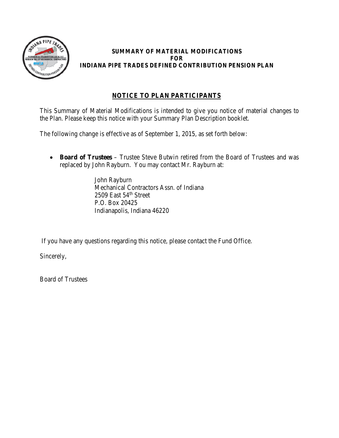

## **NOTICE TO PLAN PARTICIPANTS**

This Summary of Material Modifications is intended to give you notice of material changes to the Plan. Please keep this notice with your Summary Plan Description booklet.

The following change is effective as of September 1, 2015, as set forth below:

• **Board of Trustees** – Trustee Steve Butwin retired from the Board of Trustees and was replaced by John Rayburn. You may contact Mr. Rayburn at:

> John Rayburn Mechanical Contractors Assn. of Indiana  $2509$  East  $54<sup>th</sup>$  Street P.O. Box 20425 Indianapolis, Indiana 46220

If you have any questions regarding this notice, please contact the Fund Office.

Sincerely,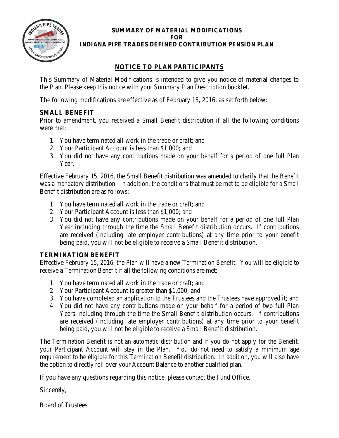

## **NOTICE TO PLAN PARTICIPANTS**

This Summary of Material Modifications is intended to give you notice of material changes to the Plan. Please keep this notice with your Summary Plan Description booklet.

The following modifications are effective as of February 15, 2016, as set forth below:

## **SMALL BENEFIT**

Prior to amendment, you received a Small Benefit distribution if all the following conditions were met:

- 1. You have terminated all work in the trade or craft; and
- 2. Your Participant Account is less than \$1,000; and
- 3. You did not have any contributions made on your behalf for a period of one full Plan Year.

Effective February 15, 2016, the Small Benefit distribution was amended to clarify that the Benefit was a mandatory distribution. In addition, the conditions that must be met to be eligible for a Small Benefit distribution are as follows:

- 1. You have terminated all work in the trade or craft; and
- 2. Your Participant Account is less than \$1,000; and
- 3. You did not have any contributions made on your behalf for a period of one full Plan Year including through the time the Small Benefit distribution occurs. If contributions are received (including late employer contributions) at any time prior to your benefit being paid, you will not be eligible to receive a Small Benefit distribution.

## **TERMINATION BENEFIT**

Effective February 15, 2016, the Plan will have a new Termination Benefit. You will be eligible to receive a Termination Benefit if all the following conditions are met:

- 1. You have terminated all work in the trade or craft; and
- 2. Your Participant Account is greater than \$1,000; and
- 3. You have completed an application to the Trustees and the Trustees have approved it; and
- 4. You did not have any contributions made on your behalf for a period of two full Plan Years including through the time the Small Benefit distribution occurs. If contributions are received (including late employer contributions) at any time prior to your benefit being paid, you will not be eligible to receive a Small Benefit distribution.

The Termination Benefit is not an automatic distribution and if you do not apply for the Benefit, your Participant Account will stay in the Plan. You do not need to satisfy a minimum age requirement to be eligible for this Termination Benefit distribution. In addition, you will also have the option to directly roll over your Account Balance to another qualified plan.

If you have any questions regarding this notice, please contact the Fund Office.

Sincerely,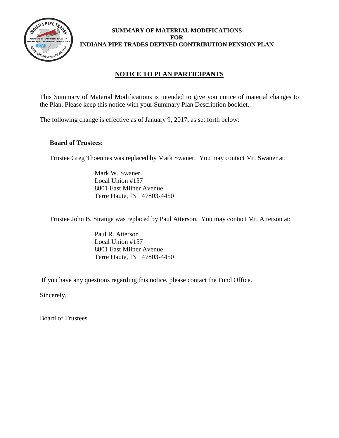

## **NOTICE TO PLAN PARTICIPANTS**

This Summary of Material Modifications is intended to give you notice of material changes to the Plan. Please keep this notice with your Summary Plan Description booklet.

The following change is effective as of January 9, 2017, as set forth below:

#### **Board of Trustees:**

Trustee Greg Thoennes was replaced by Mark Swaner. You may contact Mr. Swaner at:

Mark W. Swaner Local Union #157 8801 East Milner Avenue Terre Haute, IN 47803-4450

Trustee John B. Strange was replaced by Paul Atterson. You may contact Mr. Atterson at:

Paul R. Atterson Local Union #157 8801 East Milner Avenue Terre Haute, IN 47803-4450

If you have any questions regarding this notice, please contact the Fund Office.

Sincerely,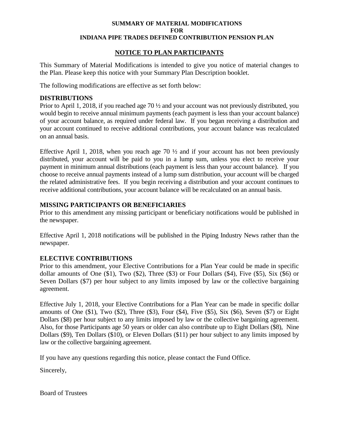#### **NOTICE TO PLAN PARTICIPANTS**

This Summary of Material Modifications is intended to give you notice of material changes to the Plan. Please keep this notice with your Summary Plan Description booklet.

The following modifications are effective as set forth below:

#### **DISTRIBUTIONS**

Prior to April 1, 2018, if you reached age 70 ½ and your account was not previously distributed, you would begin to receive annual minimum payments (each payment is less than your account balance) of your account balance, as required under federal law. If you began receiving a distribution and your account continued to receive additional contributions, your account balance was recalculated on an annual basis.

Effective April 1, 2018, when you reach age 70  $\frac{1}{2}$  and if your account has not been previously distributed, your account will be paid to you in a lump sum, unless you elect to receive your payment in minimum annual distributions (each payment is less than your account balance). If you choose to receive annual payments instead of a lump sum distribution, your account will be charged the related administrative fees. If you begin receiving a distribution and your account continues to receive additional contributions, your account balance will be recalculated on an annual basis.

#### **MISSING PARTICIPANTS OR BENEFICIARIES**

Prior to this amendment any missing participant or beneficiary notifications would be published in the newspaper.

Effective April 1, 2018 notifications will be published in the Piping Industry News rather than the newspaper.

#### **ELECTIVE CONTRIBUTIONS**

Prior to this amendment, your Elective Contributions for a Plan Year could be made in specific dollar amounts of One (\$1), Two (\$2), Three (\$3) or Four Dollars (\$4), Five (\$5), Six (\$6) or Seven Dollars (\$7) per hour subject to any limits imposed by law or the collective bargaining agreement.

Effective July 1, 2018, your Elective Contributions for a Plan Year can be made in specific dollar amounts of One  $(\$1)$ , Two  $(\$2)$ , Three  $(\$3)$ , Four  $(\$4)$ , Five  $(\$5)$ , Six  $(\$6)$ , Seven  $(\$7)$  or Eight Dollars (\$8) per hour subject to any limits imposed by law or the collective bargaining agreement. Also, for those Participants age 50 years or older can also contribute up to Eight Dollars (\$8), Nine Dollars (\$9), Ten Dollars (\$10), or Eleven Dollars (\$11) per hour subject to any limits imposed by law or the collective bargaining agreement.

If you have any questions regarding this notice, please contact the Fund Office.

Sincerely,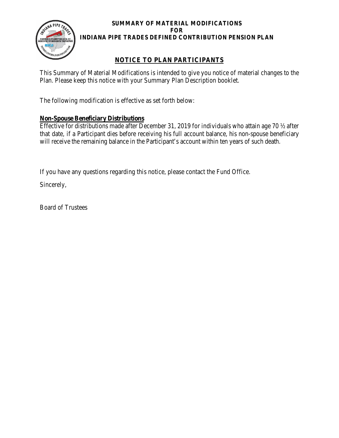

## **NOTICE TO PLAN PARTICIPANTS**

This Summary of Material Modifications is intended to give you notice of material changes to the Plan. Please keep this notice with your Summary Plan Description booklet.

The following modification is effective as set forth below:

## **Non-Spouse Beneficiary Distributions**

Effective for distributions made after December 31, 2019 for individuals who attain age 70 ½ after that date, if a Participant dies before receiving his full account balance, his non-spouse beneficiary will receive the remaining balance in the Participant's account within ten years of such death.

If you have any questions regarding this notice, please contact the Fund Office.

Sincerely,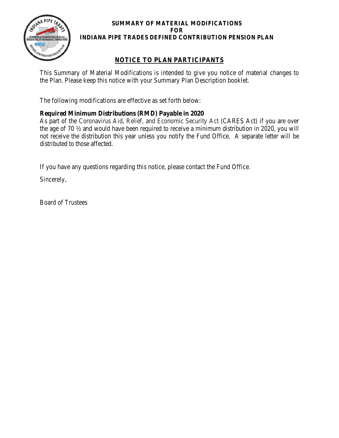

## **NOTICE TO PLAN PARTICIPANTS**

This Summary of Material Modifications is intended to give you notice of material changes to the Plan. Please keep this notice with your Summary Plan Description booklet.

The following modifications are effective as set forth below:

## **Required Minimum Distributions (RMD) Payable in 2020**

As part of the Coronavirus Aid, Relief, and Economic Security Act (CARES Act) if you are over the age of 70 ½ and would have been required to receive a minimum distribution in 2020, you will not receive the distribution this year unless you notify the Fund Office. A separate letter will be distributed to those affected.

If you have any questions regarding this notice, please contact the Fund Office.

Sincerely,